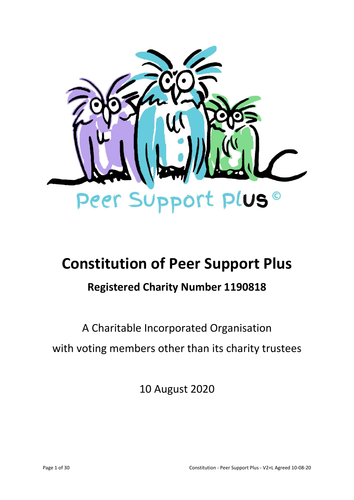

# **Constitution of Peer Support Plus**

## **Registered Charity Number 1190818**

## A Charitable Incorporated Organisation

with voting members other than its charity trustees

10 August 2020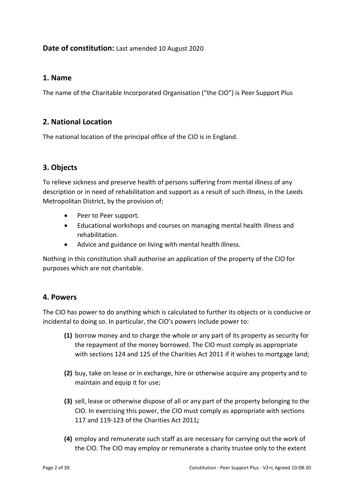## **Date of constitution:** Last amended 10 August 2020

## **1. Name**

The name of the Charitable Incorporated Organisation ("the CIO") is Peer Support Plus

## **2. National Location**

The national location of the principal office of the CIO is in England.

## **3. Objects**

To relieve sickness and preserve health of persons suffering from mental illness of any description or in need of rehabilitation and support as a result of such illness, in the Leeds Metropolitan District, by the provision of;

- Peer to Peer support.
- Educational workshops and courses on managing mental health illness and rehabilitation.
- Advice and guidance on living with mental health illness.

Nothing in this constitution shall authorise an application of the property of the CIO for purposes which are not charitable.

## **4. Powers**

The CIO has power to do anything which is calculated to further its objects or is conducive or incidental to doing so. In particular, the CIO's powers include power to:

- **(1)** borrow money and to charge the whole or any part of its property as security for the repayment of the money borrowed. The CIO must comply as appropriate with sections 124 and 125 of the Charities Act 2011 if it wishes to mortgage land;
- **(2)** buy, take on lease or in exchange, hire or otherwise acquire any property and to maintain and equip it for use;
- **(3)** sell, lease or otherwise dispose of all or any part of the property belonging to the CIO. In exercising this power, the CIO must comply as appropriate with sections 117 and 119-123 of the Charities Act 2011**;**
- **(4)** employ and remunerate such staff as are necessary for carrying out the work of the CIO. The CIO may employ or remunerate a charity trustee only to the extent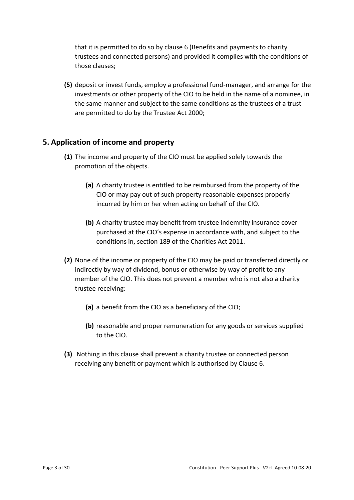that it is permitted to do so by clause 6 (Benefits and payments to charity trustees and connected persons) and provided it complies with the conditions of those clauses;

**(5)** deposit or invest funds, employ a professional fund-manager, and arrange for the investments or other property of the CIO to be held in the name of a nominee, in the same manner and subject to the same conditions as the trustees of a trust are permitted to do by the Trustee Act 2000;

## **5. Application of income and property**

- **(1)** The income and property of the CIO must be applied solely towards the promotion of the objects.
	- **(a)** A charity trustee is entitled to be reimbursed from the property of the CIO or may pay out of such property reasonable expenses properly incurred by him or her when acting on behalf of the CIO.
	- **(b)** A charity trustee may benefit from trustee indemnity insurance cover purchased at the CIO's expense in accordance with, and subject to the conditions in, section 189 of the Charities Act 2011.
- **(2)** None of the income or property of the CIO may be paid or transferred directly or indirectly by way of dividend, bonus or otherwise by way of profit to any member of the CIO. This does not prevent a member who is not also a charity trustee receiving:
	- **(a)** a benefit from the CIO as a beneficiary of the CIO;
	- **(b)** reasonable and proper remuneration for any goods or services supplied to the CIO.
- **(3)** Nothing in this clause shall prevent a charity trustee or connected person receiving any benefit or payment which is authorised by Clause 6.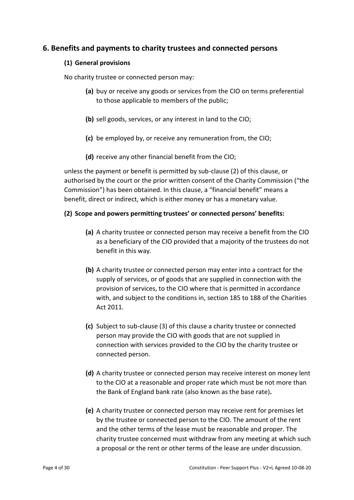## **6. Benefits and payments to charity trustees and connected persons**

#### **(1) General provisions**

No charity trustee or connected person may:

- **(a)** buy or receive any goods or services from the CIO on terms preferential to those applicable to members of the public;
- **(b)** sell goods, services, or any interest in land to the CIO;
- **(c)** be employed by, or receive any remuneration from, the CIO;
- **(d)** receive any other financial benefit from the CIO;

unless the payment or benefit is permitted by sub-clause (2) of this clause, or authorised by the court or the prior written consent of the Charity Commission ("the Commission") has been obtained. In this clause, a "financial benefit" means a benefit, direct or indirect, which is either money or has a monetary value.

#### **(2) Scope and powers permitting trustees' or connected persons' benefits:**

- **(a)** A charity trustee or connected person may receive a benefit from the CIO as a beneficiary of the CIO provided that a majority of the trustees do not benefit in this way.
- **(b)** A charity trustee or connected person may enter into a contract for the supply of services, or of goods that are supplied in connection with the provision of services, to the CIO where that is permitted in accordance with, and subject to the conditions in, section 185 to 188 of the Charities Act 2011.
- **(c)** Subject to sub-clause (3) of this clause a charity trustee or connected person may provide the CIO with goods that are not supplied in connection with services provided to the CIO by the charity trustee or connected person.
- **(d)** A charity trustee or connected person may receive interest on money lent to the CIO at a reasonable and proper rate which must be not more than the Bank of England bank rate (also known as the base rate)**.**
- **(e)** A charity trustee or connected person may receive rent for premises let by the trustee or connected person to the CIO. The amount of the rent and the other terms of the lease must be reasonable and proper. The charity trustee concerned must withdraw from any meeting at which such a proposal or the rent or other terms of the lease are under discussion.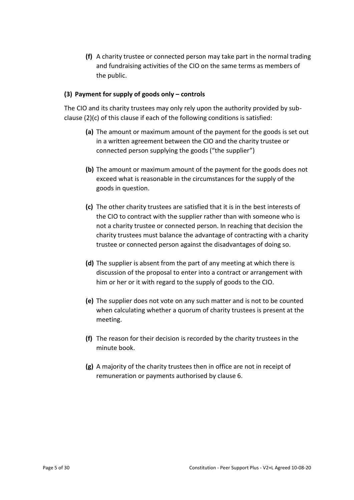**(f)** A charity trustee or connected person may take part in the normal trading and fundraising activities of the CIO on the same terms as members of the public.

#### **(3) Payment for supply of goods only – controls**

The CIO and its charity trustees may only rely upon the authority provided by subclause (2)(c) of this clause if each of the following conditions is satisfied:

- **(a)** The amount or maximum amount of the payment for the goods is set out in a written agreement between the CIO and the charity trustee or connected person supplying the goods ("the supplier")
- **(b)** The amount or maximum amount of the payment for the goods does not exceed what is reasonable in the circumstances for the supply of the goods in question.
- **(c)** The other charity trustees are satisfied that it is in the best interests of the CIO to contract with the supplier rather than with someone who is not a charity trustee or connected person. In reaching that decision the charity trustees must balance the advantage of contracting with a charity trustee or connected person against the disadvantages of doing so.
- **(d)** The supplier is absent from the part of any meeting at which there is discussion of the proposal to enter into a contract or arrangement with him or her or it with regard to the supply of goods to the CIO.
- **(e)** The supplier does not vote on any such matter and is not to be counted when calculating whether a quorum of charity trustees is present at the meeting.
- **(f)** The reason for their decision is recorded by the charity trustees in the minute book.
- **(g)** A majority of the charity trustees then in office are not in receipt of remuneration or payments authorised by clause 6.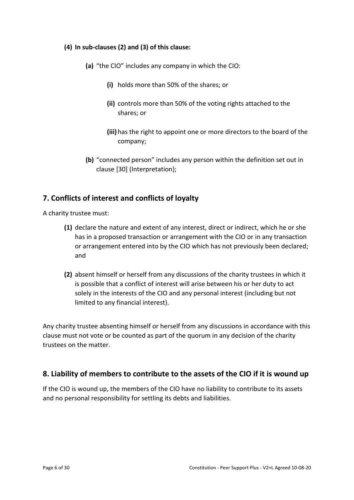#### **(4) In sub-clauses (2) and (3) of this clause:**

- **(a)** "the CIO" includes any company in which the CIO:
	- **(i)** holds more than 50% of the shares; or
	- **(ii)** controls more than 50% of the voting rights attached to the shares; or
	- **(iii)**has the right to appoint one or more directors to the board of the company;
- **(b)** "connected person" includes any person within the definition set out in clause [30] (Interpretation);

## **7. Conflicts of interest and conflicts of loyalty**

A charity trustee must:

- **(1)** declare the nature and extent of any interest, direct or indirect, which he or she has in a proposed transaction or arrangement with the CIO or in any transaction or arrangement entered into by the CIO which has not previously been declared; and
- **(2)** absent himself or herself from any discussions of the charity trustees in which it is possible that a conflict of interest will arise between his or her duty to act solely in the interests of the CIO and any personal interest (including but not limited to any financial interest).

Any charity trustee absenting himself or herself from any discussions in accordance with this clause must not vote or be counted as part of the quorum in any decision of the charity trustees on the matter.

## **8. Liability of members to contribute to the assets of the CIO if it is wound up**

If the CIO is wound up, the members of the CIO have no liability to contribute to its assets and no personal responsibility for settling its debts and liabilities.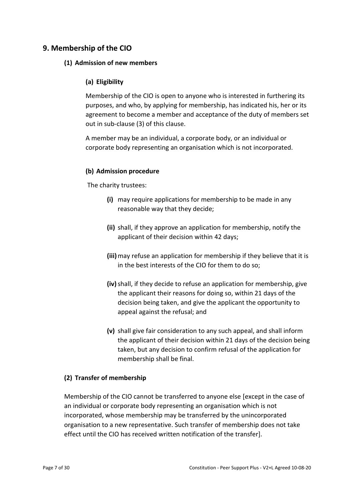## **9. Membership of the CIO**

#### **(1) Admission of new members**

#### **(a) Eligibility**

Membership of the CIO is open to anyone who is interested in furthering its purposes, and who, by applying for membership, has indicated his, her or its agreement to become a member and acceptance of the duty of members set out in sub-clause (3) of this clause.

A member may be an individual, a corporate body, or an individual or corporate body representing an organisation which is not incorporated.

#### **(b) Admission procedure**

The charity trustees:

- **(i)** may require applications for membership to be made in any reasonable way that they decide;
- **(ii)** shall, if they approve an application for membership, notify the applicant of their decision within 42 days;
- **(iii)**may refuse an application for membership if they believe that it is in the best interests of the CIO for them to do so;
- **(iv)**shall, if they decide to refuse an application for membership, give the applicant their reasons for doing so, within 21 days of the decision being taken, and give the applicant the opportunity to appeal against the refusal; and
- **(v)** shall give fair consideration to any such appeal, and shall inform the applicant of their decision within 21 days of the decision being taken, but any decision to confirm refusal of the application for membership shall be final.

## **(2) Transfer of membership**

Membership of the CIO cannot be transferred to anyone else [except in the case of an individual or corporate body representing an organisation which is not incorporated, whose membership may be transferred by the unincorporated organisation to a new representative. Such transfer of membership does not take effect until the CIO has received written notification of the transfer].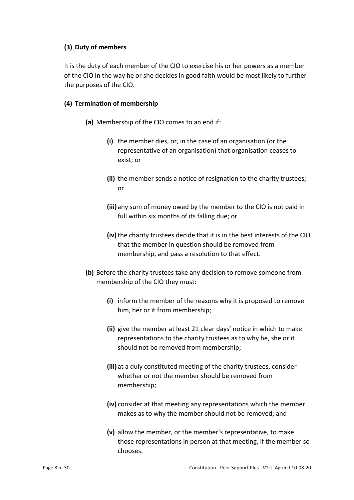#### **(3) Duty of members**

It is the duty of each member of the CIO to exercise his or her powers as a member of the CIO in the way he or she decides in good faith would be most likely to further the purposes of the CIO.

#### **(4) Termination of membership**

- **(a)** Membership of the CIO comes to an end if:
	- **(i)** the member dies, or, in the case of an organisation (or the representative of an organisation) that organisation ceases to exist; or
	- **(ii)** the member sends a notice of resignation to the charity trustees; or
	- **(iii)** any sum of money owed by the member to the CIO is not paid in full within six months of its falling due; or
	- **(iv)**the charity trustees decide that it is in the best interests of the CIO that the member in question should be removed from membership, and pass a resolution to that effect.
- **(b)** Before the charity trustees take any decision to remove someone from membership of the CIO they must:
	- **(i)** inform the member of the reasons why it is proposed to remove him, her or it from membership;
	- **(ii)** give the member at least 21 clear days' notice in which to make representations to the charity trustees as to why he, she or it should not be removed from membership;
	- **(iii)** at a duly constituted meeting of the charity trustees, consider whether or not the member should be removed from membership;
	- **(iv)** consider at that meeting any representations which the member makes as to why the member should not be removed; and
	- **(v)** allow the member, or the member's representative, to make those representations in person at that meeting, if the member so chooses.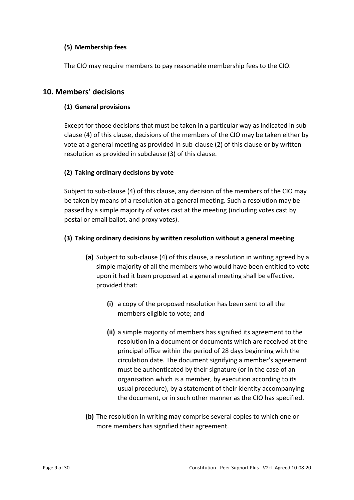#### **(5) Membership fees**

The CIO may require members to pay reasonable membership fees to the CIO.

## **10. Members' decisions**

#### **(1) General provisions**

Except for those decisions that must be taken in a particular way as indicated in subclause (4) of this clause, decisions of the members of the CIO may be taken either by vote at a general meeting as provided in sub-clause (2) of this clause or by written resolution as provided in subclause (3) of this clause.

#### **(2) Taking ordinary decisions by vote**

Subject to sub-clause (4) of this clause, any decision of the members of the CIO may be taken by means of a resolution at a general meeting. Such a resolution may be passed by a simple majority of votes cast at the meeting (including votes cast by postal or email ballot, and proxy votes).

#### **(3) Taking ordinary decisions by written resolution without a general meeting**

- **(a)** Subject to sub-clause (4) of this clause, a resolution in writing agreed by a simple majority of all the members who would have been entitled to vote upon it had it been proposed at a general meeting shall be effective, provided that:
	- **(i)** a copy of the proposed resolution has been sent to all the members eligible to vote; and
	- **(ii)** a simple majority of members has signified its agreement to the resolution in a document or documents which are received at the principal office within the period of 28 days beginning with the circulation date. The document signifying a member's agreement must be authenticated by their signature (or in the case of an organisation which is a member, by execution according to its usual procedure), by a statement of their identity accompanying the document, or in such other manner as the CIO has specified.
- **(b)** The resolution in writing may comprise several copies to which one or more members has signified their agreement.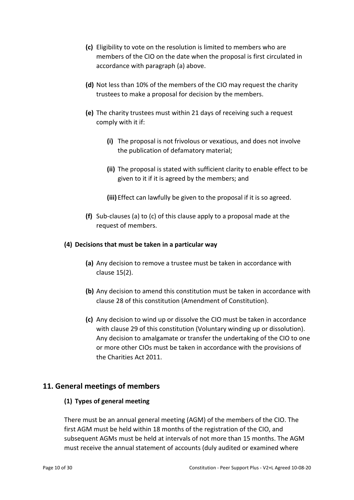- **(c)** Eligibility to vote on the resolution is limited to members who are members of the CIO on the date when the proposal is first circulated in accordance with paragraph (a) above.
- **(d)** Not less than 10% of the members of the CIO may request the charity trustees to make a proposal for decision by the members.
- **(e)** The charity trustees must within 21 days of receiving such a request comply with it if:
	- **(i)** The proposal is not frivolous or vexatious, and does not involve the publication of defamatory material;
	- **(ii)** The proposal is stated with sufficient clarity to enable effect to be given to it if it is agreed by the members; and
	- **(iii)** Effect can lawfully be given to the proposal if it is so agreed.
- **(f)** Sub-clauses (a) to (c) of this clause apply to a proposal made at the request of members.

#### **(4) Decisions that must be taken in a particular way**

- **(a)** Any decision to remove a trustee must be taken in accordance with clause 15(2).
- **(b)** Any decision to amend this constitution must be taken in accordance with clause 28 of this constitution (Amendment of Constitution).
- **(c)** Any decision to wind up or dissolve the CIO must be taken in accordance with clause 29 of this constitution (Voluntary winding up or dissolution). Any decision to amalgamate or transfer the undertaking of the CIO to one or more other CIOs must be taken in accordance with the provisions of the Charities Act 2011.

## **11. General meetings of members**

## **(1) Types of general meeting**

There must be an annual general meeting (AGM) of the members of the CIO. The first AGM must be held within 18 months of the registration of the CIO, and subsequent AGMs must be held at intervals of not more than 15 months. The AGM must receive the annual statement of accounts (duly audited or examined where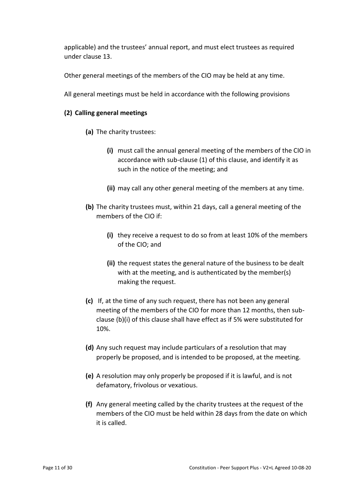applicable) and the trustees' annual report, and must elect trustees as required under clause 13.

Other general meetings of the members of the CIO may be held at any time.

All general meetings must be held in accordance with the following provisions

#### **(2) Calling general meetings**

- **(a)** The charity trustees:
	- **(i)** must call the annual general meeting of the members of the CIO in accordance with sub-clause (1) of this clause, and identify it as such in the notice of the meeting; and
	- **(ii)** may call any other general meeting of the members at any time.
- **(b)** The charity trustees must, within 21 days, call a general meeting of the members of the CIO if:
	- **(i)** they receive a request to do so from at least 10% of the members of the CIO; and
	- **(ii)** the request states the general nature of the business to be dealt with at the meeting, and is authenticated by the member(s) making the request.
- **(c)** If, at the time of any such request, there has not been any general meeting of the members of the CIO for more than 12 months, then subclause (b)(i) of this clause shall have effect as if 5% were substituted for 10%.
- **(d)** Any such request may include particulars of a resolution that may properly be proposed, and is intended to be proposed, at the meeting.
- **(e)** A resolution may only properly be proposed if it is lawful, and is not defamatory, frivolous or vexatious.
- **(f)** Any general meeting called by the charity trustees at the request of the members of the CIO must be held within 28 days from the date on which it is called.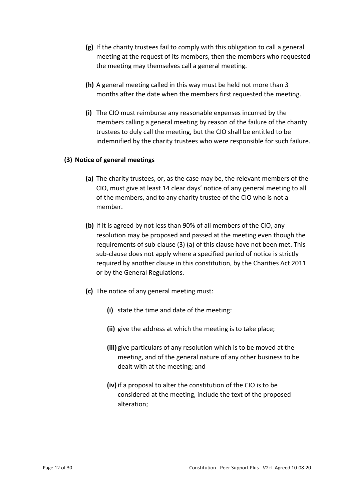- **(g)** If the charity trustees fail to comply with this obligation to call a general meeting at the request of its members, then the members who requested the meeting may themselves call a general meeting.
- **(h)** A general meeting called in this way must be held not more than 3 months after the date when the members first requested the meeting.
- **(i)** The CIO must reimburse any reasonable expenses incurred by the members calling a general meeting by reason of the failure of the charity trustees to duly call the meeting, but the CIO shall be entitled to be indemnified by the charity trustees who were responsible for such failure.

#### **(3) Notice of general meetings**

- **(a)** The charity trustees, or, as the case may be, the relevant members of the CIO, must give at least 14 clear days' notice of any general meeting to all of the members, and to any charity trustee of the CIO who is not a member.
- **(b)** If it is agreed by not less than 90% of all members of the CIO, any resolution may be proposed and passed at the meeting even though the requirements of sub-clause (3) (a) of this clause have not been met. This sub-clause does not apply where a specified period of notice is strictly required by another clause in this constitution, by the Charities Act 2011 or by the General Regulations.
- **(c)** The notice of any general meeting must:
	- **(i)** state the time and date of the meeting:
	- **(ii)** give the address at which the meeting is to take place;
	- **(iii)** give particulars of any resolution which is to be moved at the meeting, and of the general nature of any other business to be dealt with at the meeting; and
	- **(iv)** if a proposal to alter the constitution of the CIO is to be considered at the meeting, include the text of the proposed alteration;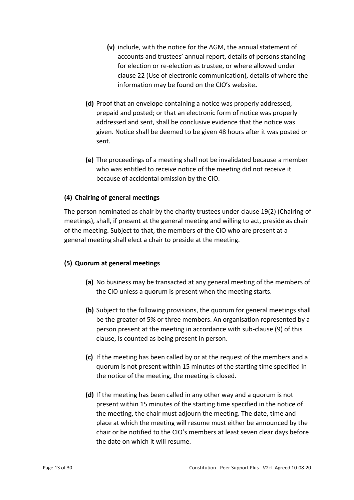- **(v)** include, with the notice for the AGM, the annual statement of accounts and trustees' annual report, details of persons standing for election or re-election as trustee, or where allowed under clause 22 (Use of electronic communication), details of where the information may be found on the CIO's website**.**
- **(d)** Proof that an envelope containing a notice was properly addressed, prepaid and posted; or that an electronic form of notice was properly addressed and sent, shall be conclusive evidence that the notice was given. Notice shall be deemed to be given 48 hours after it was posted or sent.
- **(e)** The proceedings of a meeting shall not be invalidated because a member who was entitled to receive notice of the meeting did not receive it because of accidental omission by the CIO.

## **(4) Chairing of general meetings**

The person nominated as chair by the charity trustees under clause 19(2) (Chairing of meetings), shall, if present at the general meeting and willing to act, preside as chair of the meeting. Subject to that, the members of the CIO who are present at a general meeting shall elect a chair to preside at the meeting.

## **(5) Quorum at general meetings**

- **(a)** No business may be transacted at any general meeting of the members of the CIO unless a quorum is present when the meeting starts.
- **(b)** Subject to the following provisions, the quorum for general meetings shall be the greater of 5% or three members. An organisation represented by a person present at the meeting in accordance with sub-clause (9) of this clause, is counted as being present in person.
- **(c)** If the meeting has been called by or at the request of the members and a quorum is not present within 15 minutes of the starting time specified in the notice of the meeting, the meeting is closed.
- **(d)** If the meeting has been called in any other way and a quorum is not present within 15 minutes of the starting time specified in the notice of the meeting, the chair must adjourn the meeting. The date, time and place at which the meeting will resume must either be announced by the chair or be notified to the CIO's members at least seven clear days before the date on which it will resume.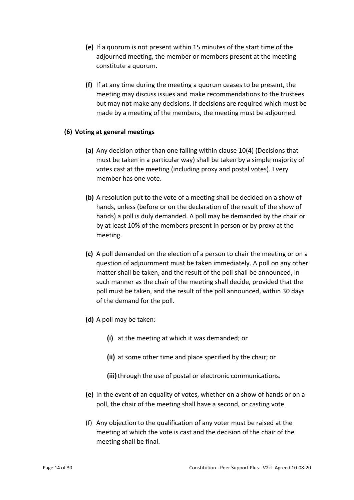- **(e)** If a quorum is not present within 15 minutes of the start time of the adjourned meeting, the member or members present at the meeting constitute a quorum.
- **(f)** If at any time during the meeting a quorum ceases to be present, the meeting may discuss issues and make recommendations to the trustees but may not make any decisions. If decisions are required which must be made by a meeting of the members, the meeting must be adjourned.

#### **(6) Voting at general meetings**

- **(a)** Any decision other than one falling within clause 10(4) (Decisions that must be taken in a particular way) shall be taken by a simple majority of votes cast at the meeting (including proxy and postal votes). Every member has one vote.
- **(b)** A resolution put to the vote of a meeting shall be decided on a show of hands, unless (before or on the declaration of the result of the show of hands) a poll is duly demanded. A poll may be demanded by the chair or by at least 10% of the members present in person or by proxy at the meeting.
- **(c)** A poll demanded on the election of a person to chair the meeting or on a question of adjournment must be taken immediately. A poll on any other matter shall be taken, and the result of the poll shall be announced, in such manner as the chair of the meeting shall decide, provided that the poll must be taken, and the result of the poll announced, within 30 days of the demand for the poll.
- **(d)** A poll may be taken:
	- **(i)** at the meeting at which it was demanded; or
	- **(ii)** at some other time and place specified by the chair; or
	- **(iii)**through the use of postal or electronic communications.
- **(e)** In the event of an equality of votes, whether on a show of hands or on a poll, the chair of the meeting shall have a second, or casting vote.
- (f) Any objection to the qualification of any voter must be raised at the meeting at which the vote is cast and the decision of the chair of the meeting shall be final.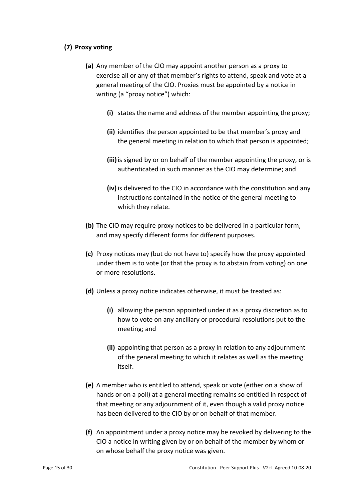#### **(7) Proxy voting**

- **(a)** Any member of the CIO may appoint another person as a proxy to exercise all or any of that member's rights to attend, speak and vote at a general meeting of the CIO. Proxies must be appointed by a notice in writing (a "proxy notice") which:
	- **(i)** states the name and address of the member appointing the proxy;
	- **(ii)** identifies the person appointed to be that member's proxy and the general meeting in relation to which that person is appointed;
	- **(iii)**is signed by or on behalf of the member appointing the proxy, or is authenticated in such manner as the CIO may determine; and
	- **(iv)** is delivered to the CIO in accordance with the constitution and any instructions contained in the notice of the general meeting to which they relate.
- **(b)** The CIO may require proxy notices to be delivered in a particular form, and may specify different forms for different purposes.
- **(c)** Proxy notices may (but do not have to) specify how the proxy appointed under them is to vote (or that the proxy is to abstain from voting) on one or more resolutions.
- **(d)** Unless a proxy notice indicates otherwise, it must be treated as:
	- **(i)** allowing the person appointed under it as a proxy discretion as to how to vote on any ancillary or procedural resolutions put to the meeting; and
	- **(ii)** appointing that person as a proxy in relation to any adjournment of the general meeting to which it relates as well as the meeting itself.
- **(e)** A member who is entitled to attend, speak or vote (either on a show of hands or on a poll) at a general meeting remains so entitled in respect of that meeting or any adjournment of it, even though a valid proxy notice has been delivered to the CIO by or on behalf of that member.
- **(f)** An appointment under a proxy notice may be revoked by delivering to the CIO a notice in writing given by or on behalf of the member by whom or on whose behalf the proxy notice was given.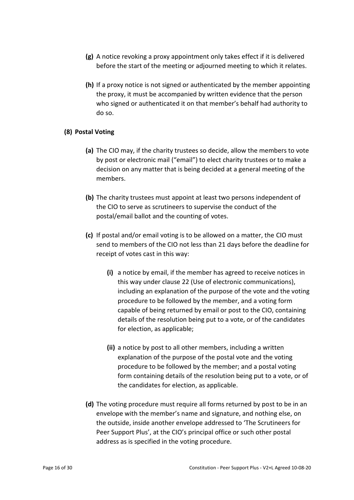- **(g)** A notice revoking a proxy appointment only takes effect if it is delivered before the start of the meeting or adjourned meeting to which it relates.
- **(h)** If a proxy notice is not signed or authenticated by the member appointing the proxy, it must be accompanied by written evidence that the person who signed or authenticated it on that member's behalf had authority to do so.

#### **(8) Postal Voting**

- **(a)** The CIO may, if the charity trustees so decide, allow the members to vote by post or electronic mail ("email") to elect charity trustees or to make a decision on any matter that is being decided at a general meeting of the members.
- **(b)** The charity trustees must appoint at least two persons independent of the CIO to serve as scrutineers to supervise the conduct of the postal/email ballot and the counting of votes.
- **(c)** If postal and/or email voting is to be allowed on a matter, the CIO must send to members of the CIO not less than 21 days before the deadline for receipt of votes cast in this way:
	- **(i)** a notice by email, if the member has agreed to receive notices in this way under clause 22 (Use of electronic communications), including an explanation of the purpose of the vote and the voting procedure to be followed by the member, and a voting form capable of being returned by email or post to the CIO, containing details of the resolution being put to a vote, or of the candidates for election, as applicable;
	- **(ii)** a notice by post to all other members, including a written explanation of the purpose of the postal vote and the voting procedure to be followed by the member; and a postal voting form containing details of the resolution being put to a vote, or of the candidates for election, as applicable.
- **(d)** The voting procedure must require all forms returned by post to be in an envelope with the member's name and signature, and nothing else, on the outside, inside another envelope addressed to 'The Scrutineers for Peer Support Plus', at the CIO's principal office or such other postal address as is specified in the voting procedure.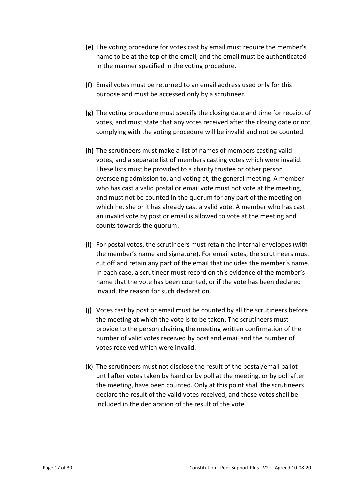- **(e)** The voting procedure for votes cast by email must require the member's name to be at the top of the email, and the email must be authenticated in the manner specified in the voting procedure.
- **(f)** Email votes must be returned to an email address used only for this purpose and must be accessed only by a scrutineer.
- **(g)** The voting procedure must specify the closing date and time for receipt of votes, and must state that any votes received after the closing date or not complying with the voting procedure will be invalid and not be counted.
- **(h)** The scrutineers must make a list of names of members casting valid votes, and a separate list of members casting votes which were invalid. These lists must be provided to a charity trustee or other person overseeing admission to, and voting at, the general meeting. A member who has cast a valid postal or email vote must not vote at the meeting, and must not be counted in the quorum for any part of the meeting on which he, she or it has already cast a valid vote. A member who has cast an invalid vote by post or email is allowed to vote at the meeting and counts towards the quorum.
- **(i)** For postal votes, the scrutineers must retain the internal envelopes (with the member's name and signature). For email votes, the scrutineers must cut off and retain any part of the email that includes the member's name. In each case, a scrutineer must record on this evidence of the member's name that the vote has been counted, or if the vote has been declared invalid, the reason for such declaration.
- **(j)** Votes cast by post or email must be counted by all the scrutineers before the meeting at which the vote is to be taken. The scrutineers must provide to the person chairing the meeting written confirmation of the number of valid votes received by post and email and the number of votes received which were invalid.
- (k) The scrutineers must not disclose the result of the postal/email ballot until after votes taken by hand or by poll at the meeting, or by poll after the meeting, have been counted. Only at this point shall the scrutineers declare the result of the valid votes received, and these votes shall be included in the declaration of the result of the vote.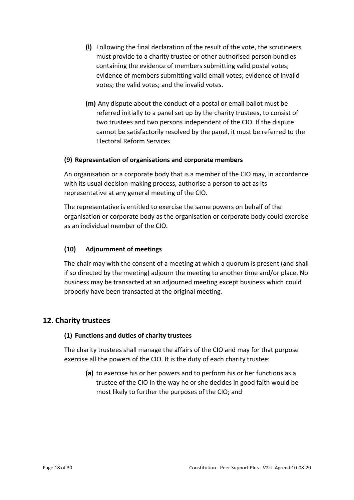- **(l)** Following the final declaration of the result of the vote, the scrutineers must provide to a charity trustee or other authorised person bundles containing the evidence of members submitting valid postal votes; evidence of members submitting valid email votes; evidence of invalid votes; the valid votes; and the invalid votes.
- **(m)** Any dispute about the conduct of a postal or email ballot must be referred initially to a panel set up by the charity trustees, to consist of two trustees and two persons independent of the CIO. If the dispute cannot be satisfactorily resolved by the panel, it must be referred to the Electoral Reform Services

#### **(9) Representation of organisations and corporate members**

An organisation or a corporate body that is a member of the CIO may, in accordance with its usual decision-making process, authorise a person to act as its representative at any general meeting of the CIO.

The representative is entitled to exercise the same powers on behalf of the organisation or corporate body as the organisation or corporate body could exercise as an individual member of the CIO.

## **(10) Adjournment of meetings**

The chair may with the consent of a meeting at which a quorum is present (and shall if so directed by the meeting) adjourn the meeting to another time and/or place. No business may be transacted at an adjourned meeting except business which could properly have been transacted at the original meeting.

## **12. Charity trustees**

## **(1) Functions and duties of charity trustees**

The charity trustees shall manage the affairs of the CIO and may for that purpose exercise all the powers of the CIO. It is the duty of each charity trustee:

**(a)** to exercise his or her powers and to perform his or her functions as a trustee of the CIO in the way he or she decides in good faith would be most likely to further the purposes of the CIO; and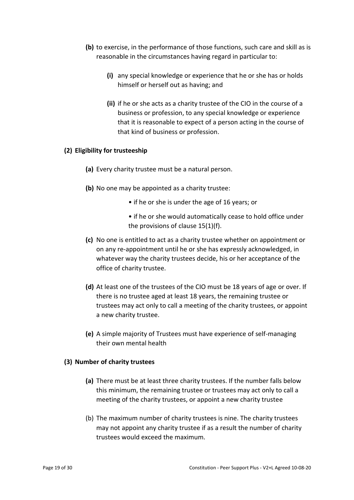- **(b)** to exercise, in the performance of those functions, such care and skill as is reasonable in the circumstances having regard in particular to:
	- **(i)** any special knowledge or experience that he or she has or holds himself or herself out as having; and
	- **(ii)** if he or she acts as a charity trustee of the CIO in the course of a business or profession, to any special knowledge or experience that it is reasonable to expect of a person acting in the course of that kind of business or profession.

#### **(2) Eligibility for trusteeship**

- **(a)** Every charity trustee must be a natural person.
- **(b)** No one may be appointed as a charity trustee:
	- if he or she is under the age of 16 years; or
	- if he or she would automatically cease to hold office under the provisions of clause 15(1)(f).
- **(c)** No one is entitled to act as a charity trustee whether on appointment or on any re-appointment until he or she has expressly acknowledged, in whatever way the charity trustees decide, his or her acceptance of the office of charity trustee.
- **(d)** At least one of the trustees of the CIO must be 18 years of age or over. If there is no trustee aged at least 18 years, the remaining trustee or trustees may act only to call a meeting of the charity trustees, or appoint a new charity trustee.
- **(e)** A simple majority of Trustees must have experience of self-managing their own mental health

#### **(3) Number of charity trustees**

- **(a)** There must be at least three charity trustees. If the number falls below this minimum, the remaining trustee or trustees may act only to call a meeting of the charity trustees, or appoint a new charity trustee
- (b) The maximum number of charity trustees is nine. The charity trustees may not appoint any charity trustee if as a result the number of charity trustees would exceed the maximum.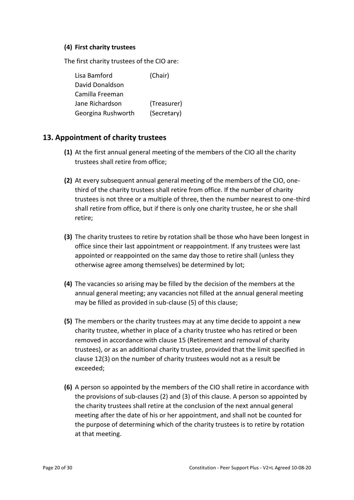#### **(4) First charity trustees**

The first charity trustees of the CIO are:

| Lisa Bamford       | (Chair)     |
|--------------------|-------------|
| David Donaldson    |             |
| Camilla Freeman    |             |
| Jane Richardson    | (Treasurer) |
| Georgina Rushworth | (Secretary) |

## **13. Appointment of charity trustees**

- **(1)** At the first annual general meeting of the members of the CIO all the charity trustees shall retire from office;
- **(2)** At every subsequent annual general meeting of the members of the CIO, onethird of the charity trustees shall retire from office. If the number of charity trustees is not three or a multiple of three, then the number nearest to one-third shall retire from office, but if there is only one charity trustee, he or she shall retire;
- **(3)** The charity trustees to retire by rotation shall be those who have been longest in office since their last appointment or reappointment. If any trustees were last appointed or reappointed on the same day those to retire shall (unless they otherwise agree among themselves) be determined by lot;
- **(4)** The vacancies so arising may be filled by the decision of the members at the annual general meeting; any vacancies not filled at the annual general meeting may be filled as provided in sub-clause (5) of this clause;
- **(5)** The members or the charity trustees may at any time decide to appoint a new charity trustee, whether in place of a charity trustee who has retired or been removed in accordance with clause 15 (Retirement and removal of charity trustees), or as an additional charity trustee, provided that the limit specified in clause 12(3) on the number of charity trustees would not as a result be exceeded;
- **(6)** A person so appointed by the members of the CIO shall retire in accordance with the provisions of sub-clauses (2) and (3) of this clause. A person so appointed by the charity trustees shall retire at the conclusion of the next annual general meeting after the date of his or her appointment, and shall not be counted for the purpose of determining which of the charity trustees is to retire by rotation at that meeting.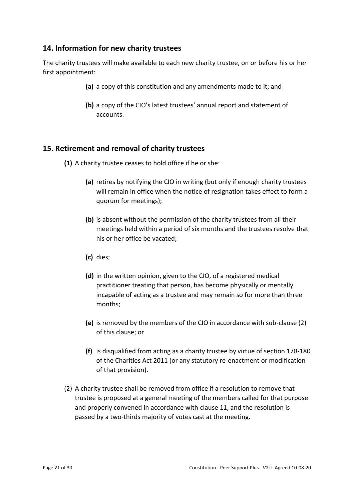## **14. Information for new charity trustees**

The charity trustees will make available to each new charity trustee, on or before his or her first appointment:

- **(a)** a copy of this constitution and any amendments made to it; and
- **(b)** a copy of the CIO's latest trustees' annual report and statement of accounts.

## **15. Retirement and removal of charity trustees**

**(1)** A charity trustee ceases to hold office if he or she:

- **(a)** retires by notifying the CIO in writing (but only if enough charity trustees will remain in office when the notice of resignation takes effect to form a quorum for meetings);
- **(b)** is absent without the permission of the charity trustees from all their meetings held within a period of six months and the trustees resolve that his or her office be vacated;
- **(c)** dies;
- **(d)** in the written opinion, given to the CIO, of a registered medical practitioner treating that person, has become physically or mentally incapable of acting as a trustee and may remain so for more than three months;
- **(e)** is removed by the members of the CIO in accordance with sub-clause (2) of this clause; or
- **(f)** is disqualified from acting as a charity trustee by virtue of section 178-180 of the Charities Act 2011 (or any statutory re-enactment or modification of that provision).
- (2) A charity trustee shall be removed from office if a resolution to remove that trustee is proposed at a general meeting of the members called for that purpose and properly convened in accordance with clause 11, and the resolution is passed by a two-thirds majority of votes cast at the meeting.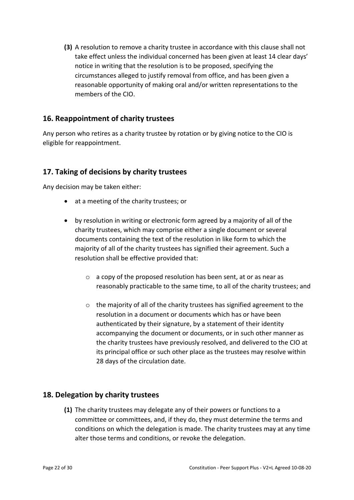**(3)** A resolution to remove a charity trustee in accordance with this clause shall not take effect unless the individual concerned has been given at least 14 clear days' notice in writing that the resolution is to be proposed, specifying the circumstances alleged to justify removal from office, and has been given a reasonable opportunity of making oral and/or written representations to the members of the CIO.

## **16. Reappointment of charity trustees**

Any person who retires as a charity trustee by rotation or by giving notice to the CIO is eligible for reappointment.

## **17. Taking of decisions by charity trustees**

Any decision may be taken either:

- at a meeting of the charity trustees; or
- by resolution in writing or electronic form agreed by a majority of all of the charity trustees, which may comprise either a single document or several documents containing the text of the resolution in like form to which the majority of all of the charity trustees has signified their agreement. Such a resolution shall be effective provided that:
	- $\circ$  a copy of the proposed resolution has been sent, at or as near as reasonably practicable to the same time, to all of the charity trustees; and
	- $\circ$  the majority of all of the charity trustees has signified agreement to the resolution in a document or documents which has or have been authenticated by their signature, by a statement of their identity accompanying the document or documents, or in such other manner as the charity trustees have previously resolved, and delivered to the CIO at its principal office or such other place as the trustees may resolve within 28 days of the circulation date.

## **18. Delegation by charity trustees**

**(1)** The charity trustees may delegate any of their powers or functions to a committee or committees, and, if they do, they must determine the terms and conditions on which the delegation is made. The charity trustees may at any time alter those terms and conditions, or revoke the delegation.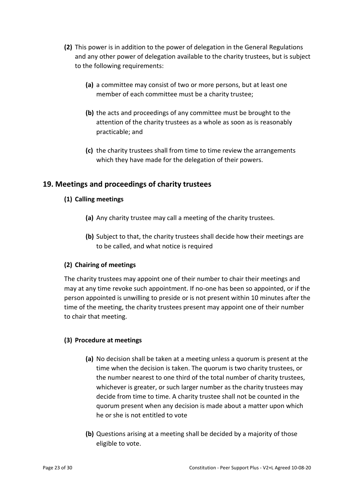- **(2)** This power is in addition to the power of delegation in the General Regulations and any other power of delegation available to the charity trustees, but is subject to the following requirements:
	- **(a)** a committee may consist of two or more persons, but at least one member of each committee must be a charity trustee;
	- **(b)** the acts and proceedings of any committee must be brought to the attention of the charity trustees as a whole as soon as is reasonably practicable; and
	- **(c)** the charity trustees shall from time to time review the arrangements which they have made for the delegation of their powers.

## **19. Meetings and proceedings of charity trustees**

## **(1) Calling meetings**

- **(a)** Any charity trustee may call a meeting of the charity trustees.
- **(b)** Subject to that, the charity trustees shall decide how their meetings are to be called, and what notice is required

## **(2) Chairing of meetings**

The charity trustees may appoint one of their number to chair their meetings and may at any time revoke such appointment. If no-one has been so appointed, or if the person appointed is unwilling to preside or is not present within 10 minutes after the time of the meeting, the charity trustees present may appoint one of their number to chair that meeting.

## **(3) Procedure at meetings**

- **(a)** No decision shall be taken at a meeting unless a quorum is present at the time when the decision is taken. The quorum is two charity trustees, or the number nearest to one third of the total number of charity trustees, whichever is greater, or such larger number as the charity trustees may decide from time to time. A charity trustee shall not be counted in the quorum present when any decision is made about a matter upon which he or she is not entitled to vote
- **(b)** Questions arising at a meeting shall be decided by a majority of those eligible to vote.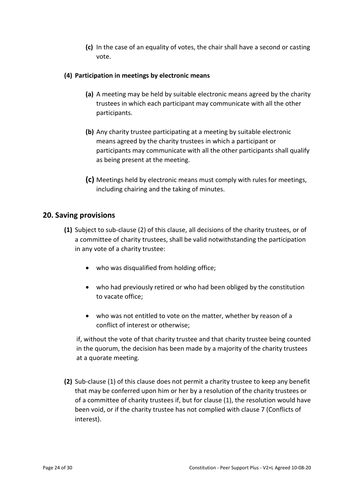**(c)** In the case of an equality of votes, the chair shall have a second or casting vote.

#### **(4) Participation in meetings by electronic means**

- **(a)** A meeting may be held by suitable electronic means agreed by the charity trustees in which each participant may communicate with all the other participants.
- **(b)** Any charity trustee participating at a meeting by suitable electronic means agreed by the charity trustees in which a participant or participants may communicate with all the other participants shall qualify as being present at the meeting.
- **(c)** Meetings held by electronic means must comply with rules for meetings, including chairing and the taking of minutes.

## **20. Saving provisions**

- **(1)** Subject to sub-clause (2) of this clause, all decisions of the charity trustees, or of a committee of charity trustees, shall be valid notwithstanding the participation in any vote of a charity trustee:
	- who was disqualified from holding office;
	- who had previously retired or who had been obliged by the constitution to vacate office;
	- who was not entitled to vote on the matter, whether by reason of a conflict of interest or otherwise;

if, without the vote of that charity trustee and that charity trustee being counted in the quorum, the decision has been made by a majority of the charity trustees at a quorate meeting.

**(2)** Sub-clause (1) of this clause does not permit a charity trustee to keep any benefit that may be conferred upon him or her by a resolution of the charity trustees or of a committee of charity trustees if, but for clause (1), the resolution would have been void, or if the charity trustee has not complied with clause 7 (Conflicts of interest).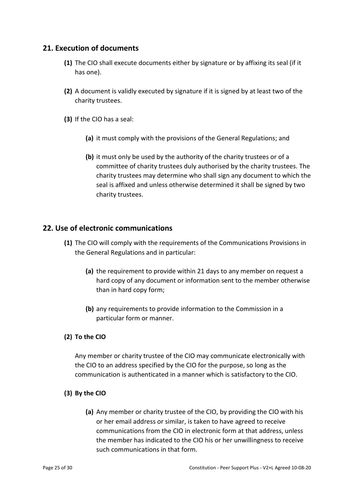## **21. Execution of documents**

- **(1)** The CIO shall execute documents either by signature or by affixing its seal (if it has one).
- **(2)** A document is validly executed by signature if it is signed by at least two of the charity trustees.
- **(3)** If the CIO has a seal:
	- **(a)** it must comply with the provisions of the General Regulations; and
	- **(b)** it must only be used by the authority of the charity trustees or of a committee of charity trustees duly authorised by the charity trustees. The charity trustees may determine who shall sign any document to which the seal is affixed and unless otherwise determined it shall be signed by two charity trustees.

## **22. Use of electronic communications**

- **(1)** The CIO will comply with the requirements of the Communications Provisions in the General Regulations and in particular:
	- **(a)** the requirement to provide within 21 days to any member on request a hard copy of any document or information sent to the member otherwise than in hard copy form;
	- **(b)** any requirements to provide information to the Commission in a particular form or manner.

#### **(2) To the CIO**

Any member or charity trustee of the CIO may communicate electronically with the CIO to an address specified by the CIO for the purpose, so long as the communication is authenticated in a manner which is satisfactory to the CIO.

#### **(3) By the CIO**

**(a)** Any member or charity trustee of the CIO, by providing the CIO with his or her email address or similar, is taken to have agreed to receive communications from the CIO in electronic form at that address, unless the member has indicated to the CIO his or her unwillingness to receive such communications in that form.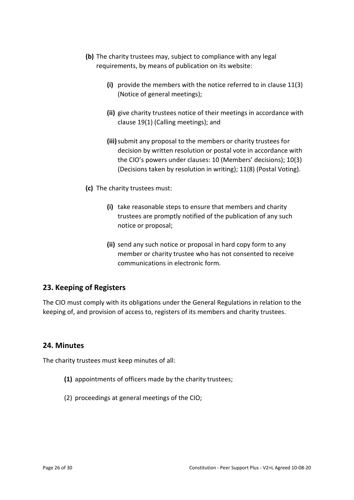- **(b)** The charity trustees may, subject to compliance with any legal requirements, by means of publication on its website:
	- **(i)** provide the members with the notice referred to in clause 11(3) (Notice of general meetings);
	- **(ii)** give charity trustees notice of their meetings in accordance with clause 19(1) (Calling meetings); and
	- **(iii)**submit any proposal to the members or charity trustees for decision by written resolution or postal vote in accordance with the CIO's powers under clauses: 10 (Members' decisions); 10(3) (Decisions taken by resolution in writing); 11(8) (Postal Voting).
- **(c)** The charity trustees must:
	- **(i)** take reasonable steps to ensure that members and charity trustees are promptly notified of the publication of any such notice or proposal;
	- **(ii)** send any such notice or proposal in hard copy form to any member or charity trustee who has not consented to receive communications in electronic form.

## **23. Keeping of Registers**

The CIO must comply with its obligations under the General Regulations in relation to the keeping of, and provision of access to, registers of its members and charity trustees.

## **24. Minutes**

The charity trustees must keep minutes of all:

- **(1)** appointments of officers made by the charity trustees;
- (2) proceedings at general meetings of the CIO;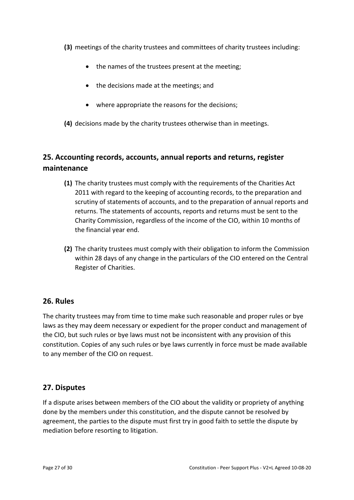**(3)** meetings of the charity trustees and committees of charity trustees including:

- the names of the trustees present at the meeting;
- the decisions made at the meetings; and
- where appropriate the reasons for the decisions;

**(4)** decisions made by the charity trustees otherwise than in meetings.

## **25. Accounting records, accounts, annual reports and returns, register maintenance**

- **(1)** The charity trustees must comply with the requirements of the Charities Act 2011 with regard to the keeping of accounting records, to the preparation and scrutiny of statements of accounts, and to the preparation of annual reports and returns. The statements of accounts, reports and returns must be sent to the Charity Commission, regardless of the income of the CIO, within 10 months of the financial year end.
- **(2)** The charity trustees must comply with their obligation to inform the Commission within 28 days of any change in the particulars of the CIO entered on the Central Register of Charities.

## **26. Rules**

The charity trustees may from time to time make such reasonable and proper rules or bye laws as they may deem necessary or expedient for the proper conduct and management of the CIO, but such rules or bye laws must not be inconsistent with any provision of this constitution. Copies of any such rules or bye laws currently in force must be made available to any member of the CIO on request.

## **27. Disputes**

If a dispute arises between members of the CIO about the validity or propriety of anything done by the members under this constitution, and the dispute cannot be resolved by agreement, the parties to the dispute must first try in good faith to settle the dispute by mediation before resorting to litigation.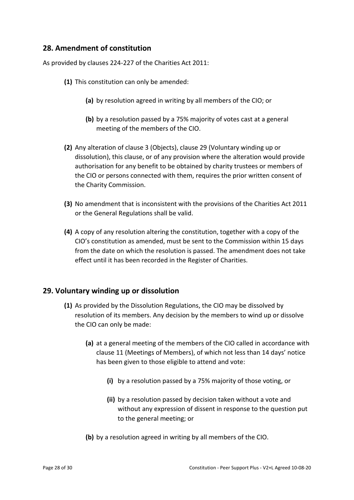## **28. Amendment of constitution**

As provided by clauses 224-227 of the Charities Act 2011:

- **(1)** This constitution can only be amended:
	- **(a)** by resolution agreed in writing by all members of the CIO; or
	- **(b)** by a resolution passed by a 75% majority of votes cast at a general meeting of the members of the CIO.
- **(2)** Any alteration of clause 3 (Objects), clause 29 (Voluntary winding up or dissolution), this clause, or of any provision where the alteration would provide authorisation for any benefit to be obtained by charity trustees or members of the CIO or persons connected with them, requires the prior written consent of the Charity Commission.
- **(3)** No amendment that is inconsistent with the provisions of the Charities Act 2011 or the General Regulations shall be valid.
- **(4)** A copy of any resolution altering the constitution, together with a copy of the CIO's constitution as amended, must be sent to the Commission within 15 days from the date on which the resolution is passed. The amendment does not take effect until it has been recorded in the Register of Charities.

## **29. Voluntary winding up or dissolution**

- **(1)** As provided by the Dissolution Regulations, the CIO may be dissolved by resolution of its members. Any decision by the members to wind up or dissolve the CIO can only be made:
	- **(a)** at a general meeting of the members of the CIO called in accordance with clause 11 (Meetings of Members), of which not less than 14 days' notice has been given to those eligible to attend and vote:
		- **(i)** by a resolution passed by a 75% majority of those voting, or
		- **(ii)** by a resolution passed by decision taken without a vote and without any expression of dissent in response to the question put to the general meeting; or
	- **(b)** by a resolution agreed in writing by all members of the CIO.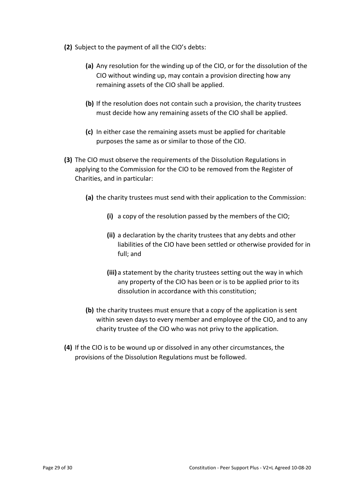- **(2)** Subject to the payment of all the CIO's debts:
	- **(a)** Any resolution for the winding up of the CIO, or for the dissolution of the CIO without winding up, may contain a provision directing how any remaining assets of the CIO shall be applied.
	- **(b)** If the resolution does not contain such a provision, the charity trustees must decide how any remaining assets of the CIO shall be applied.
	- **(c)** In either case the remaining assets must be applied for charitable purposes the same as or similar to those of the CIO.
- **(3)** The CIO must observe the requirements of the Dissolution Regulations in applying to the Commission for the CIO to be removed from the Register of Charities, and in particular:
	- **(a)** the charity trustees must send with their application to the Commission:
		- **(i)** a copy of the resolution passed by the members of the CIO;
		- **(ii)** a declaration by the charity trustees that any debts and other liabilities of the CIO have been settled or otherwise provided for in full; and
		- **(iii)** a statement by the charity trustees setting out the way in which any property of the CIO has been or is to be applied prior to its dissolution in accordance with this constitution;
	- **(b)** the charity trustees must ensure that a copy of the application is sent within seven days to every member and employee of the CIO, and to any charity trustee of the CIO who was not privy to the application.
- **(4)** If the CIO is to be wound up or dissolved in any other circumstances, the provisions of the Dissolution Regulations must be followed.